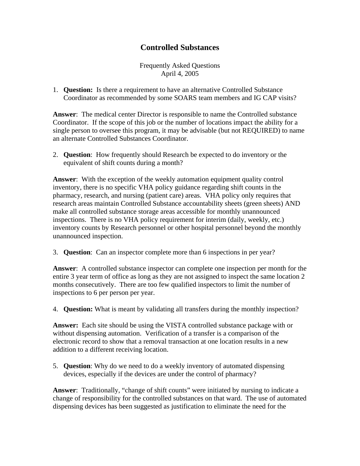## **Controlled Substances**

Frequently Asked Questions April 4, 2005

1. **Question:** Is there a requirement to have an alternative Controlled Substance Coordinator as recommended by some SOARS team members and IG CAP visits?

**Answer**: The medical center Director is responsible to name the Controlled substance Coordinator. If the scope of this job or the number of locations impact the ability for a single person to oversee this program, it may be advisable (but not REQUIRED) to name an alternate Controlled Substances Coordinator.

2. **Question**: How frequently should Research be expected to do inventory or the equivalent of shift counts during a month?

**Answer**: With the exception of the weekly automation equipment quality control inventory, there is no specific VHA policy guidance regarding shift counts in the pharmacy, research, and nursing (patient care) areas. VHA policy only requires that research areas maintain Controlled Substance accountability sheets (green sheets) AND make all controlled substance storage areas accessible for monthly unannounced inspections. There is no VHA policy requirement for interim (daily, weekly, etc.) inventory counts by Research personnel or other hospital personnel beyond the monthly unannounced inspection.

3. **Question**: Can an inspector complete more than 6 inspections in per year?

**Answer**: A controlled substance inspector can complete one inspection per month for the entire 3 year term of office as long as they are not assigned to inspect the same location 2 months consecutively. There are too few qualified inspectors to limit the number of inspections to 6 per person per year.

4. **Question:** What is meant by validating all transfers during the monthly inspection?

**Answer:** Each site should be using the VISTA controlled substance package with or without dispensing automation. Verification of a transfer is a comparison of the electronic record to show that a removal transaction at one location results in a new addition to a different receiving location.

5. **Question**: Why do we need to do a weekly inventory of automated dispensing devices, especially if the devices are under the control of pharmacy?

**Answer**: Traditionally, "change of shift counts" were initiated by nursing to indicate a change of responsibility for the controlled substances on that ward. The use of automated dispensing devices has been suggested as justification to eliminate the need for the